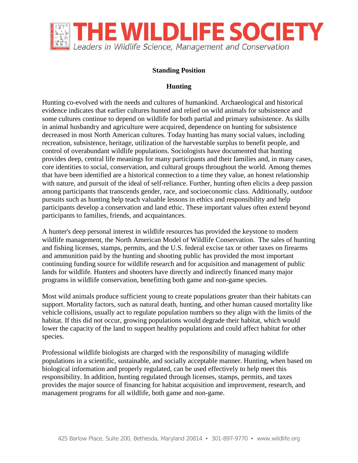

## **Standing Position**

## **Hunting**

Hunting co-evolved with the needs and cultures of humankind. Archaeological and historical evidence indicates that earlier cultures hunted and relied on wild animals for subsistence and some cultures continue to depend on wildlife for both partial and primary subsistence. As skills in animal husbandry and agriculture were acquired, dependence on hunting for subsistence decreased in most North American cultures. Today hunting has many social values, including recreation, subsistence, heritage, utilization of the harvestable surplus to benefit people, and control of overabundant wildlife populations. Sociologists have documented that hunting provides deep, central life meanings for many participants and their families and, in many cases, core identities to social, conservation, and cultural groups throughout the world. Among themes that have been identified are a historical connection to a time they value, an honest relationship with nature, and pursuit of the ideal of self-reliance. Further, hunting often elicits a deep passion among participants that transcends gender, race, and socioeconomic class. Additionally, outdoor pursuits such as hunting help teach valuable lessons in ethics and responsibility and help participants develop a conservation and land ethic. These important values often extend beyond participants to families, friends, and acquaintances.

A hunter's deep personal interest in wildlife resources has provided the keystone to modern wildlife management, the North American Model of Wildlife Conservation. The sales of hunting and fishing licenses, stamps, permits, and the U.S. federal excise tax or other taxes on firearms and ammunition paid by the hunting and shooting public has provided the most important continuing funding source for wildlife research and for acquisition and management of public lands for wildlife. Hunters and shooters have directly and indirectly financed many major programs in wildlife conservation, benefitting both game and non-game species.

Most wild animals produce sufficient young to create populations greater than their habitats can support. Mortality factors, such as natural death, hunting, and other human caused mortality like vehicle collisions, usually act to regulate population numbers so they align with the limits of the habitat. If this did not occur, growing populations would degrade their habitat, which would lower the capacity of the land to support healthy populations and could affect habitat for other species.

Professional wildlife biologists are charged with the responsibility of managing wildlife populations in a scientific, sustainable, and socially acceptable manner. Hunting, when based on biological information and properly regulated, can be used effectively to help meet this responsibility. In addition, hunting regulated through licenses, stamps, permits, and taxes provides the major source of financing for habitat acquisition and improvement, research, and management programs for all wildlife, both game and non-game.